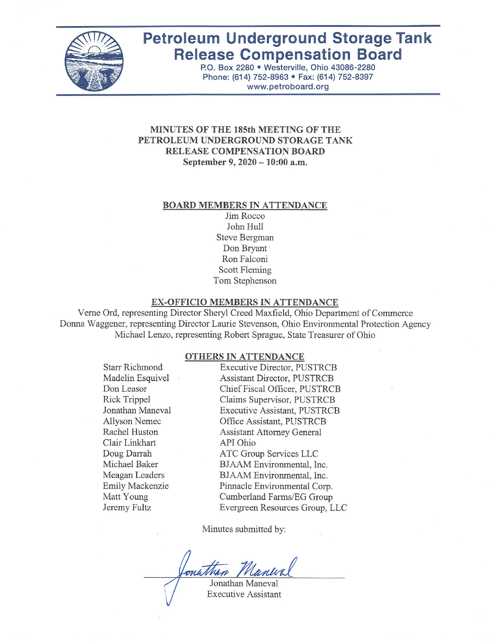

# **Petroleum Underground Storage Tank Release Compensation Board**

P.O. Box 2280 · Westerville, Ohio 43086-2280 Phone: (614) 752-8963 · Fax: (614) 752-8397 www.petroboard.org

#### MINUTES OF THE 185th MEETING OF THE PETROLEUM UNDERGROUND STORAGE TANK RELEASE COMPENSATION BOARD September 9, 2020 - 10:00 a.m.

#### **BOARD MEMBERS IN ATTENDANCE**

Jim Rocco John Hull Steve Bergman Don Bryant Ron Falconi **Scott Fleming** Tom Stephenson

#### EX-OFFICIO MEMBERS IN ATTENDANCE

Verne Ord, representing Director Sheryl Creed Maxfield, Ohio Department of Commerce Donna Waggener, representing Director Laurie Stevenson, Ohio Environmental Protection Agency Michael Lenzo, representing Robert Sprague, State Treasurer of Ohio

#### **OTHERS IN ATTENDANCE**

**Starr Richmond** Madelin Esquivel Don Leasor Rick Trippel Jonathan Maneval **Allyson Nemec** Rachel Huston Clair Linkhart Doug Darrah Michael Baker Meagan Leaders Emily Mackenzie Matt Young Jeremy Fultz

**Executive Director, PUSTRCB** Assistant Director, PUSTRCB Chief Fiscal Officer, PUSTRCB Claims Supervisor, PUSTRCB **Executive Assistant, PUSTRCB** Office Assistant, PUSTRCB **Assistant Attorney General** API Ohio ATC Group Services LLC BJAAM Environmental, Inc. BJAAM Environmental, Inc. Pinnacle Environmental Corp. Cumberland Farms/EG Group Evergreen Resources Group, LLC

Minutes submitted by:

Jonathan Maneval

**Executive Assistant**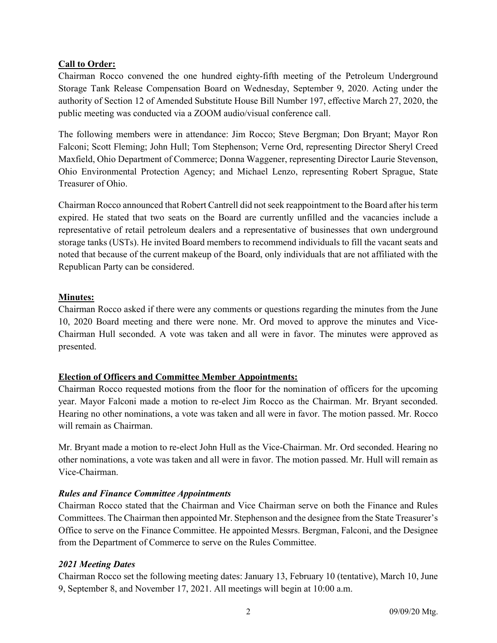# Call to Order:

Chairman Rocco convened the one hundred eighty-fifth meeting of the Petroleum Underground Storage Tank Release Compensation Board on Wednesday, September 9, 2020. Acting under the authority of Section 12 of Amended Substitute House Bill Number 197, effective March 27, 2020, the public meeting was conducted via a ZOOM audio/visual conference call.

The following members were in attendance: Jim Rocco; Steve Bergman; Don Bryant; Mayor Ron Falconi; Scott Fleming; John Hull; Tom Stephenson; Verne Ord, representing Director Sheryl Creed Maxfield, Ohio Department of Commerce; Donna Waggener, representing Director Laurie Stevenson, Ohio Environmental Protection Agency; and Michael Lenzo, representing Robert Sprague, State Treasurer of Ohio.

Chairman Rocco announced that Robert Cantrell did not seek reappointment to the Board after his term expired. He stated that two seats on the Board are currently unfilled and the vacancies include a representative of retail petroleum dealers and a representative of businesses that own underground storage tanks (USTs). He invited Board members to recommend individuals to fill the vacant seats and noted that because of the current makeup of the Board, only individuals that are not affiliated with the Republican Party can be considered.

## Minutes:

Chairman Rocco asked if there were any comments or questions regarding the minutes from the June 10, 2020 Board meeting and there were none. Mr. Ord moved to approve the minutes and Vice-Chairman Hull seconded. A vote was taken and all were in favor. The minutes were approved as presented.

# Election of Officers and Committee Member Appointments:

Chairman Rocco requested motions from the floor for the nomination of officers for the upcoming year. Mayor Falconi made a motion to re-elect Jim Rocco as the Chairman. Mr. Bryant seconded. Hearing no other nominations, a vote was taken and all were in favor. The motion passed. Mr. Rocco will remain as Chairman.

Mr. Bryant made a motion to re-elect John Hull as the Vice-Chairman. Mr. Ord seconded. Hearing no other nominations, a vote was taken and all were in favor. The motion passed. Mr. Hull will remain as Vice-Chairman.

# Rules and Finance Committee Appointments

Chairman Rocco stated that the Chairman and Vice Chairman serve on both the Finance and Rules Committees. The Chairman then appointed Mr. Stephenson and the designee from the State Treasurer's Office to serve on the Finance Committee. He appointed Messrs. Bergman, Falconi, and the Designee from the Department of Commerce to serve on the Rules Committee.

#### 2021 Meeting Dates

Chairman Rocco set the following meeting dates: January 13, February 10 (tentative), March 10, June 9, September 8, and November 17, 2021. All meetings will begin at 10:00 a.m.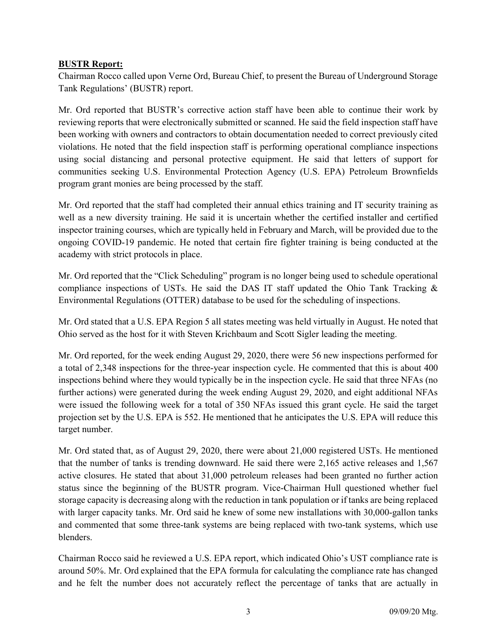#### BUSTR Report:

Chairman Rocco called upon Verne Ord, Bureau Chief, to present the Bureau of Underground Storage Tank Regulations' (BUSTR) report.

Mr. Ord reported that BUSTR's corrective action staff have been able to continue their work by reviewing reports that were electronically submitted or scanned. He said the field inspection staff have been working with owners and contractors to obtain documentation needed to correct previously cited violations. He noted that the field inspection staff is performing operational compliance inspections using social distancing and personal protective equipment. He said that letters of support for communities seeking U.S. Environmental Protection Agency (U.S. EPA) Petroleum Brownfields program grant monies are being processed by the staff.

Mr. Ord reported that the staff had completed their annual ethics training and IT security training as well as a new diversity training. He said it is uncertain whether the certified installer and certified inspector training courses, which are typically held in February and March, will be provided due to the ongoing COVID-19 pandemic. He noted that certain fire fighter training is being conducted at the academy with strict protocols in place.

Mr. Ord reported that the "Click Scheduling" program is no longer being used to schedule operational compliance inspections of USTs. He said the DAS IT staff updated the Ohio Tank Tracking  $\&$ Environmental Regulations (OTTER) database to be used for the scheduling of inspections.

Mr. Ord stated that a U.S. EPA Region 5 all states meeting was held virtually in August. He noted that Ohio served as the host for it with Steven Krichbaum and Scott Sigler leading the meeting.

Mr. Ord reported, for the week ending August 29, 2020, there were 56 new inspections performed for a total of 2,348 inspections for the three-year inspection cycle. He commented that this is about 400 inspections behind where they would typically be in the inspection cycle. He said that three NFAs (no further actions) were generated during the week ending August 29, 2020, and eight additional NFAs were issued the following week for a total of 350 NFAs issued this grant cycle. He said the target projection set by the U.S. EPA is 552. He mentioned that he anticipates the U.S. EPA will reduce this target number.

Mr. Ord stated that, as of August 29, 2020, there were about 21,000 registered USTs. He mentioned that the number of tanks is trending downward. He said there were 2,165 active releases and 1,567 active closures. He stated that about 31,000 petroleum releases had been granted no further action status since the beginning of the BUSTR program. Vice-Chairman Hull questioned whether fuel storage capacity is decreasing along with the reduction in tank population or if tanks are being replaced with larger capacity tanks. Mr. Ord said he knew of some new installations with 30,000-gallon tanks and commented that some three-tank systems are being replaced with two-tank systems, which use blenders.

Chairman Rocco said he reviewed a U.S. EPA report, which indicated Ohio's UST compliance rate is around 50%. Mr. Ord explained that the EPA formula for calculating the compliance rate has changed and he felt the number does not accurately reflect the percentage of tanks that are actually in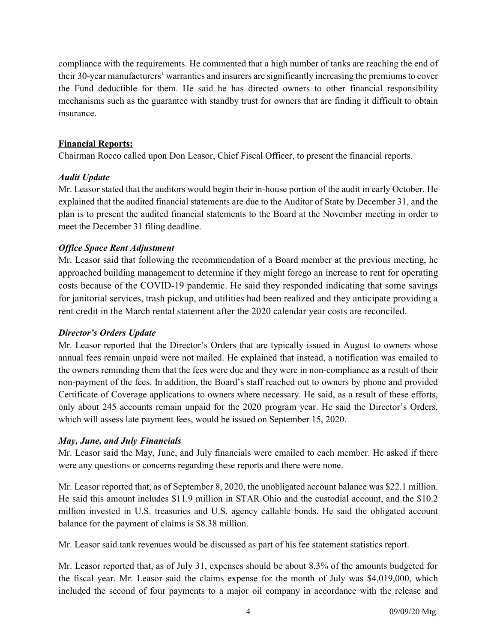compliance with the requirements. He commented that a high number of tanks are reaching the end of their 30-year manufacturers' warranties and insurers are significantly increasing the premiums to cover the Fund deductible for them. He said he has directed owners to other financial responsibility mechanisms such as the guarantee with standby trust for owners that are finding it difficult to obtain insurance.

#### Financial Reports:

Chairman Rocco called upon Don Leasor, Chief Fiscal Officer, to present the financial reports.

## Audit Update

Mr. Leasor stated that the auditors would begin their in-house portion of the audit in early October. He explained that the audited financial statements are due to the Auditor of State by December 31, and the plan is to present the audited financial statements to the Board at the November meeting in order to meet the December 31 filing deadline.

# Office Space Rent Adjustment

Mr. Leasor said that following the recommendation of a Board member at the previous meeting, he approached building management to determine if they might forego an increase to rent for operating costs because of the COVID-19 pandemic. He said they responded indicating that some savings for janitorial services, trash pickup, and utilities had been realized and they anticipate providing a rent credit in the March rental statement after the 2020 calendar year costs are reconciled.

#### Director's Orders Update

Mr. Leasor reported that the Director's Orders that are typically issued in August to owners whose annual fees remain unpaid were not mailed. He explained that instead, a notification was emailed to the owners reminding them that the fees were due and they were in non-compliance as a result of their non-payment of the fees. In addition, the Board's staff reached out to owners by phone and provided Certificate of Coverage applications to owners where necessary. He said, as a result of these efforts, only about 245 accounts remain unpaid for the 2020 program year. He said the Director's Orders, which will assess late payment fees, would be issued on September 15, 2020.

# May, June, and July Financials

Mr. Leasor said the May, June, and July financials were emailed to each member. He asked if there were any questions or concerns regarding these reports and there were none.

Mr. Leasor reported that, as of September 8, 2020, the unobligated account balance was \$22.1 million. He said this amount includes \$11.9 million in STAR Ohio and the custodial account, and the \$10.2 million invested in U.S. treasuries and U.S. agency callable bonds. He said the obligated account balance for the payment of claims is \$8.38 million.

Mr. Leasor said tank revenues would be discussed as part of his fee statement statistics report.

Mr. Leasor reported that, as of July 31, expenses should be about 8.3% of the amounts budgeted for the fiscal year. Mr. Leasor said the claims expense for the month of July was \$4,019,000, which included the second of four payments to a major oil company in accordance with the release and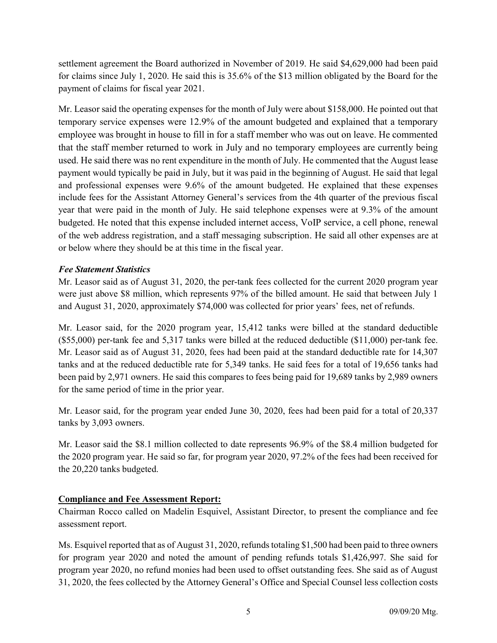settlement agreement the Board authorized in November of 2019. He said \$4,629,000 had been paid for claims since July 1, 2020. He said this is 35.6% of the \$13 million obligated by the Board for the payment of claims for fiscal year 2021.

Mr. Leasor said the operating expenses for the month of July were about \$158,000. He pointed out that temporary service expenses were 12.9% of the amount budgeted and explained that a temporary employee was brought in house to fill in for a staff member who was out on leave. He commented that the staff member returned to work in July and no temporary employees are currently being used. He said there was no rent expenditure in the month of July. He commented that the August lease payment would typically be paid in July, but it was paid in the beginning of August. He said that legal and professional expenses were 9.6% of the amount budgeted. He explained that these expenses include fees for the Assistant Attorney General's services from the 4th quarter of the previous fiscal year that were paid in the month of July. He said telephone expenses were at 9.3% of the amount budgeted. He noted that this expense included internet access, VoIP service, a cell phone, renewal of the web address registration, and a staff messaging subscription. He said all other expenses are at or below where they should be at this time in the fiscal year.

# Fee Statement Statistics

Mr. Leasor said as of August 31, 2020, the per-tank fees collected for the current 2020 program year were just above \$8 million, which represents 97% of the billed amount. He said that between July 1 and August 31, 2020, approximately \$74,000 was collected for prior years' fees, net of refunds.

Mr. Leasor said, for the 2020 program year, 15,412 tanks were billed at the standard deductible (\$55,000) per-tank fee and 5,317 tanks were billed at the reduced deductible (\$11,000) per-tank fee. Mr. Leasor said as of August 31, 2020, fees had been paid at the standard deductible rate for 14,307 tanks and at the reduced deductible rate for 5,349 tanks. He said fees for a total of 19,656 tanks had been paid by 2,971 owners. He said this compares to fees being paid for 19,689 tanks by 2,989 owners for the same period of time in the prior year.

Mr. Leasor said, for the program year ended June 30, 2020, fees had been paid for a total of 20,337 tanks by 3,093 owners.

Mr. Leasor said the \$8.1 million collected to date represents 96.9% of the \$8.4 million budgeted for the 2020 program year. He said so far, for program year 2020, 97.2% of the fees had been received for the 20,220 tanks budgeted.

# Compliance and Fee Assessment Report:

Chairman Rocco called on Madelin Esquivel, Assistant Director, to present the compliance and fee assessment report.

Ms. Esquivel reported that as of August 31, 2020, refunds totaling \$1,500 had been paid to three owners for program year 2020 and noted the amount of pending refunds totals \$1,426,997. She said for program year 2020, no refund monies had been used to offset outstanding fees. She said as of August 31, 2020, the fees collected by the Attorney General's Office and Special Counsel less collection costs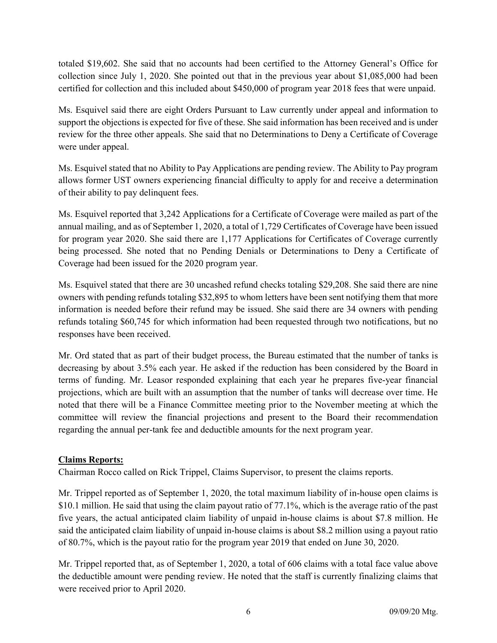totaled \$19,602. She said that no accounts had been certified to the Attorney General's Office for collection since July 1, 2020. She pointed out that in the previous year about \$1,085,000 had been certified for collection and this included about \$450,000 of program year 2018 fees that were unpaid.

Ms. Esquivel said there are eight Orders Pursuant to Law currently under appeal and information to support the objections is expected for five of these. She said information has been received and is under review for the three other appeals. She said that no Determinations to Deny a Certificate of Coverage were under appeal.

Ms. Esquivel stated that no Ability to Pay Applications are pending review. The Ability to Pay program allows former UST owners experiencing financial difficulty to apply for and receive a determination of their ability to pay delinquent fees.

Ms. Esquivel reported that 3,242 Applications for a Certificate of Coverage were mailed as part of the annual mailing, and as of September 1, 2020, a total of 1,729 Certificates of Coverage have been issued for program year 2020. She said there are 1,177 Applications for Certificates of Coverage currently being processed. She noted that no Pending Denials or Determinations to Deny a Certificate of Coverage had been issued for the 2020 program year.

Ms. Esquivel stated that there are 30 uncashed refund checks totaling \$29,208. She said there are nine owners with pending refunds totaling \$32,895 to whom letters have been sent notifying them that more information is needed before their refund may be issued. She said there are 34 owners with pending refunds totaling \$60,745 for which information had been requested through two notifications, but no responses have been received.

Mr. Ord stated that as part of their budget process, the Bureau estimated that the number of tanks is decreasing by about 3.5% each year. He asked if the reduction has been considered by the Board in terms of funding. Mr. Leasor responded explaining that each year he prepares five-year financial projections, which are built with an assumption that the number of tanks will decrease over time. He noted that there will be a Finance Committee meeting prior to the November meeting at which the committee will review the financial projections and present to the Board their recommendation regarding the annual per-tank fee and deductible amounts for the next program year.

# Claims Reports:

Chairman Rocco called on Rick Trippel, Claims Supervisor, to present the claims reports.

Mr. Trippel reported as of September 1, 2020, the total maximum liability of in-house open claims is \$10.1 million. He said that using the claim payout ratio of 77.1%, which is the average ratio of the past five years, the actual anticipated claim liability of unpaid in-house claims is about \$7.8 million. He said the anticipated claim liability of unpaid in-house claims is about \$8.2 million using a payout ratio of 80.7%, which is the payout ratio for the program year 2019 that ended on June 30, 2020.

Mr. Trippel reported that, as of September 1, 2020, a total of 606 claims with a total face value above the deductible amount were pending review. He noted that the staff is currently finalizing claims that were received prior to April 2020.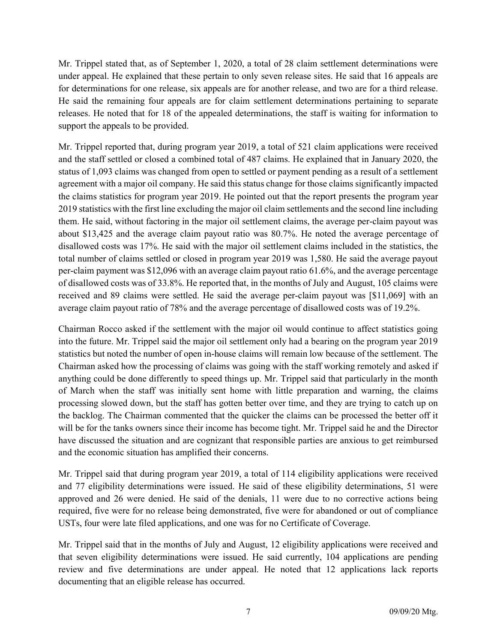Mr. Trippel stated that, as of September 1, 2020, a total of 28 claim settlement determinations were under appeal. He explained that these pertain to only seven release sites. He said that 16 appeals are for determinations for one release, six appeals are for another release, and two are for a third release. He said the remaining four appeals are for claim settlement determinations pertaining to separate releases. He noted that for 18 of the appealed determinations, the staff is waiting for information to support the appeals to be provided.

Mr. Trippel reported that, during program year 2019, a total of 521 claim applications were received and the staff settled or closed a combined total of 487 claims. He explained that in January 2020, the status of 1,093 claims was changed from open to settled or payment pending as a result of a settlement agreement with a major oil company. He said this status change for those claims significantly impacted the claims statistics for program year 2019. He pointed out that the report presents the program year 2019 statistics with the first line excluding the major oil claim settlements and the second line including them. He said, without factoring in the major oil settlement claims, the average per-claim payout was about \$13,425 and the average claim payout ratio was 80.7%. He noted the average percentage of disallowed costs was 17%. He said with the major oil settlement claims included in the statistics, the total number of claims settled or closed in program year 2019 was 1,580. He said the average payout per-claim payment was \$12,096 with an average claim payout ratio 61.6%, and the average percentage of disallowed costs was of 33.8%. He reported that, in the months of July and August, 105 claims were received and 89 claims were settled. He said the average per-claim payout was [\$11,069] with an average claim payout ratio of 78% and the average percentage of disallowed costs was of 19.2%.

Chairman Rocco asked if the settlement with the major oil would continue to affect statistics going into the future. Mr. Trippel said the major oil settlement only had a bearing on the program year 2019 statistics but noted the number of open in-house claims will remain low because of the settlement. The Chairman asked how the processing of claims was going with the staff working remotely and asked if anything could be done differently to speed things up. Mr. Trippel said that particularly in the month of March when the staff was initially sent home with little preparation and warning, the claims processing slowed down, but the staff has gotten better over time, and they are trying to catch up on the backlog. The Chairman commented that the quicker the claims can be processed the better off it will be for the tanks owners since their income has become tight. Mr. Trippel said he and the Director have discussed the situation and are cognizant that responsible parties are anxious to get reimbursed and the economic situation has amplified their concerns.

Mr. Trippel said that during program year 2019, a total of 114 eligibility applications were received and 77 eligibility determinations were issued. He said of these eligibility determinations, 51 were approved and 26 were denied. He said of the denials, 11 were due to no corrective actions being required, five were for no release being demonstrated, five were for abandoned or out of compliance USTs, four were late filed applications, and one was for no Certificate of Coverage.

Mr. Trippel said that in the months of July and August, 12 eligibility applications were received and that seven eligibility determinations were issued. He said currently, 104 applications are pending review and five determinations are under appeal. He noted that 12 applications lack reports documenting that an eligible release has occurred.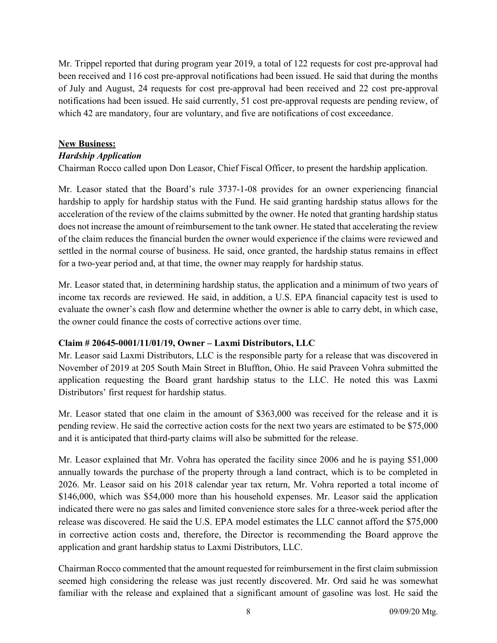Mr. Trippel reported that during program year 2019, a total of 122 requests for cost pre-approval had been received and 116 cost pre-approval notifications had been issued. He said that during the months of July and August, 24 requests for cost pre-approval had been received and 22 cost pre-approval notifications had been issued. He said currently, 51 cost pre-approval requests are pending review, of which 42 are mandatory, four are voluntary, and five are notifications of cost exceedance.

#### New Business:

#### Hardship Application

Chairman Rocco called upon Don Leasor, Chief Fiscal Officer, to present the hardship application.

Mr. Leasor stated that the Board's rule 3737-1-08 provides for an owner experiencing financial hardship to apply for hardship status with the Fund. He said granting hardship status allows for the acceleration of the review of the claims submitted by the owner. He noted that granting hardship status does not increase the amount of reimbursement to the tank owner. He stated that accelerating the review of the claim reduces the financial burden the owner would experience if the claims were reviewed and settled in the normal course of business. He said, once granted, the hardship status remains in effect for a two-year period and, at that time, the owner may reapply for hardship status.

Mr. Leasor stated that, in determining hardship status, the application and a minimum of two years of income tax records are reviewed. He said, in addition, a U.S. EPA financial capacity test is used to evaluate the owner's cash flow and determine whether the owner is able to carry debt, in which case, the owner could finance the costs of corrective actions over time.

#### Claim # 20645-0001/11/01/19, Owner – Laxmi Distributors, LLC

Mr. Leasor said Laxmi Distributors, LLC is the responsible party for a release that was discovered in November of 2019 at 205 South Main Street in Bluffton, Ohio. He said Praveen Vohra submitted the application requesting the Board grant hardship status to the LLC. He noted this was Laxmi Distributors' first request for hardship status.

Mr. Leasor stated that one claim in the amount of \$363,000 was received for the release and it is pending review. He said the corrective action costs for the next two years are estimated to be \$75,000 and it is anticipated that third-party claims will also be submitted for the release.

Mr. Leasor explained that Mr. Vohra has operated the facility since 2006 and he is paying \$51,000 annually towards the purchase of the property through a land contract, which is to be completed in 2026. Mr. Leasor said on his 2018 calendar year tax return, Mr. Vohra reported a total income of \$146,000, which was \$54,000 more than his household expenses. Mr. Leasor said the application indicated there were no gas sales and limited convenience store sales for a three-week period after the release was discovered. He said the U.S. EPA model estimates the LLC cannot afford the \$75,000 in corrective action costs and, therefore, the Director is recommending the Board approve the application and grant hardship status to Laxmi Distributors, LLC.

Chairman Rocco commented that the amount requested for reimbursement in the first claim submission seemed high considering the release was just recently discovered. Mr. Ord said he was somewhat familiar with the release and explained that a significant amount of gasoline was lost. He said the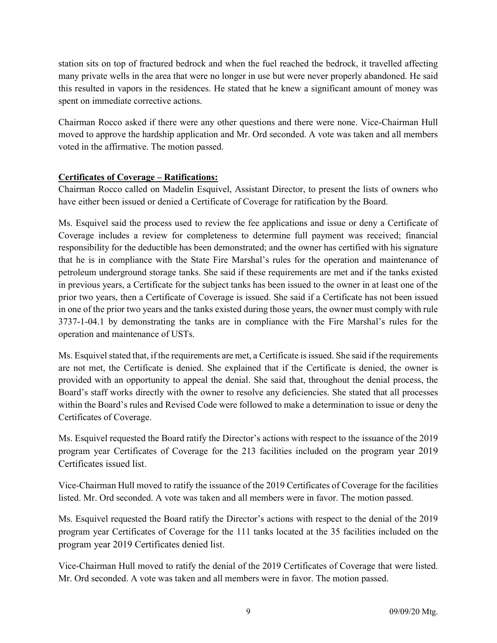station sits on top of fractured bedrock and when the fuel reached the bedrock, it travelled affecting many private wells in the area that were no longer in use but were never properly abandoned. He said this resulted in vapors in the residences. He stated that he knew a significant amount of money was spent on immediate corrective actions.

Chairman Rocco asked if there were any other questions and there were none. Vice-Chairman Hull moved to approve the hardship application and Mr. Ord seconded. A vote was taken and all members voted in the affirmative. The motion passed.

# Certificates of Coverage – Ratifications:

Chairman Rocco called on Madelin Esquivel, Assistant Director, to present the lists of owners who have either been issued or denied a Certificate of Coverage for ratification by the Board.

Ms. Esquivel said the process used to review the fee applications and issue or deny a Certificate of Coverage includes a review for completeness to determine full payment was received; financial responsibility for the deductible has been demonstrated; and the owner has certified with his signature that he is in compliance with the State Fire Marshal's rules for the operation and maintenance of petroleum underground storage tanks. She said if these requirements are met and if the tanks existed in previous years, a Certificate for the subject tanks has been issued to the owner in at least one of the prior two years, then a Certificate of Coverage is issued. She said if a Certificate has not been issued in one of the prior two years and the tanks existed during those years, the owner must comply with rule 3737-1-04.1 by demonstrating the tanks are in compliance with the Fire Marshal's rules for the operation and maintenance of USTs.

Ms. Esquivel stated that, if the requirements are met, a Certificate is issued. She said if the requirements are not met, the Certificate is denied. She explained that if the Certificate is denied, the owner is provided with an opportunity to appeal the denial. She said that, throughout the denial process, the Board's staff works directly with the owner to resolve any deficiencies. She stated that all processes within the Board's rules and Revised Code were followed to make a determination to issue or deny the Certificates of Coverage.

Ms. Esquivel requested the Board ratify the Director's actions with respect to the issuance of the 2019 program year Certificates of Coverage for the 213 facilities included on the program year 2019 Certificates issued list.

Vice-Chairman Hull moved to ratify the issuance of the 2019 Certificates of Coverage for the facilities listed. Mr. Ord seconded. A vote was taken and all members were in favor. The motion passed.

Ms. Esquivel requested the Board ratify the Director's actions with respect to the denial of the 2019 program year Certificates of Coverage for the 111 tanks located at the 35 facilities included on the program year 2019 Certificates denied list.

Vice-Chairman Hull moved to ratify the denial of the 2019 Certificates of Coverage that were listed. Mr. Ord seconded. A vote was taken and all members were in favor. The motion passed.